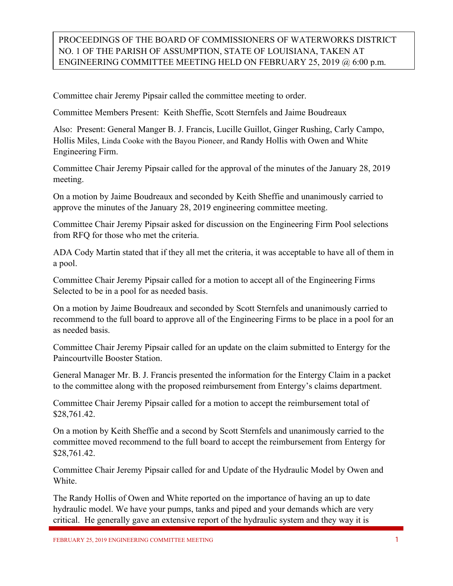## PROCEEDINGS OF THE BOARD OF COMMISSIONERS OF WATERWORKS DISTRICT NO. 1 OF THE PARISH OF ASSUMPTION, STATE OF LOUISIANA, TAKEN AT ENGINEERING COMMITTEE MEETING HELD ON FEBRUARY 25, 2019 @ 6:00 p.m.

Committee chair Jeremy Pipsair called the committee meeting to order.

Committee Members Present: Keith Sheffie, Scott Sternfels and Jaime Boudreaux

Also: Present: General Manger B. J. Francis, Lucille Guillot, Ginger Rushing, Carly Campo, Hollis Miles, Linda Cooke with the Bayou Pioneer, and Randy Hollis with Owen and White Engineering Firm.

Committee Chair Jeremy Pipsair called for the approval of the minutes of the January 28, 2019 meeting.

On a motion by Jaime Boudreaux and seconded by Keith Sheffie and unanimously carried to approve the minutes of the January 28, 2019 engineering committee meeting.

Committee Chair Jeremy Pipsair asked for discussion on the Engineering Firm Pool selections from RFQ for those who met the criteria.

ADA Cody Martin stated that if they all met the criteria, it was acceptable to have all of them in a pool.

Committee Chair Jeremy Pipsair called for a motion to accept all of the Engineering Firms Selected to be in a pool for as needed basis.

On a motion by Jaime Boudreaux and seconded by Scott Sternfels and unanimously carried to recommend to the full board to approve all of the Engineering Firms to be place in a pool for an as needed basis.

Committee Chair Jeremy Pipsair called for an update on the claim submitted to Entergy for the Paincourtville Booster Station.

General Manager Mr. B. J. Francis presented the information for the Entergy Claim in a packet to the committee along with the proposed reimbursement from Entergy's claims department.

Committee Chair Jeremy Pipsair called for a motion to accept the reimbursement total of \$28,761.42.

On a motion by Keith Sheffie and a second by Scott Sternfels and unanimously carried to the committee moved recommend to the full board to accept the reimbursement from Entergy for \$28,761.42.

Committee Chair Jeremy Pipsair called for and Update of the Hydraulic Model by Owen and White.

The Randy Hollis of Owen and White reported on the importance of having an up to date hydraulic model. We have your pumps, tanks and piped and your demands which are very critical. He generally gave an extensive report of the hydraulic system and they way it is